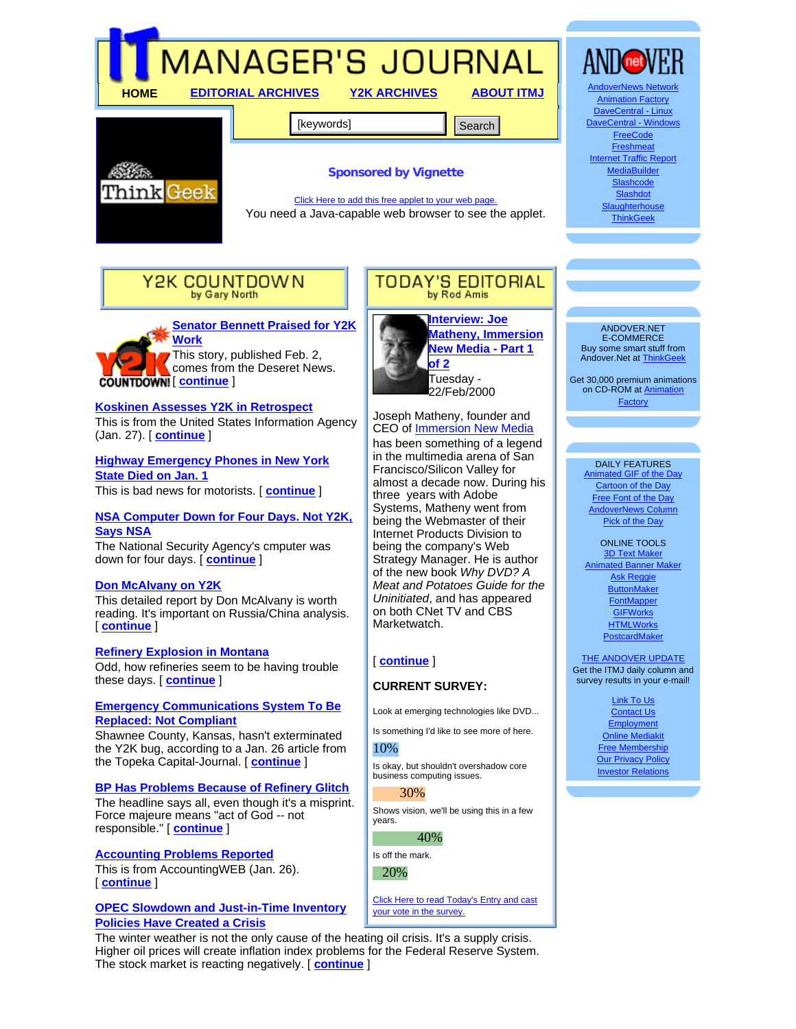

**Work** This story, published Feb. 2, comes from the Deseret News. [ **continue** ]

#### **Koskinen Assesses Y2K in Retrospect**

This is from the United States Information Agency (Jan. 27). [ **continue** ]

**Highway Emergency Phones in New York State Died on Jan. 1**

This is bad news for motorists. [ **continue** ]

#### **NSA Computer Down for Four Days. Not Y2K, Says NSA**

The National Security Agency's cmputer was down for four days. [ **continue** ]

#### **Don McAlvany on Y2K**

This detailed report by Don McAlvany is worth reading. It's important on Russia/China analysis. [ **continue** ]

#### **Refinery Explosion in Montana**

Odd, how refineries seem to be having trouble these days. [ **continue** ]

#### **Emergency Communications System To Be Replaced: Not Compliant**

Shawnee County, Kansas, hasn't exterminated the Y2K bug, according to a Jan. 26 article from the Topeka Capital-Journal. [ **continue** ]

#### **BP Has Problems Because of Refinery Glitch**

The headline says all, even though it's a misprint. Force majeure means "act of God -- not responsible." [ **continue** ]

### **Accounting Problems Reported**

This is from AccountingWEB (Jan. 26). [ **continue** ]

#### **OPEC Slowdown and Just-in-Time Inventory Policies Have Created a Crisis**

The winter weather is not the only cause of the heating oil crisis. It's a supply crisis. Higher oil prices will create inflation index problems for the Federal Reserve System. The stock market is reacting negatively. [ **continue** ]

**New Media - Part 1 of 2** Tuesday - 22/Feb/2000

Joseph Matheny, founder and CEO of Immersion New Media has been something of a legend in the multimedia arena of San Francisco/Silicon Valley for almost a decade now. During his three years with Adobe Systems, Matheny went from being the Webmaster of their Internet Products Division to being the company's Web Strategy Manager. He is author of the new book *Why DVD? A Meat and Potatoes Guide for the Uninitiated*, and has appeared on both CNet TV and CBS Marketwatch.

#### [ **continue** ]

# **CURRENT SURVEY:**

Look at emerging technologies like DVD...

Is something I'd like to see more of here.

# 10%

Is okay, but shouldn't overshadow core business computing issues.

#### 30%

Shows vision, we'll be using this in a few years.

# 40%

Is off the mark. 20%

Click Here to read Today's Entry and cast your vote in the survey.

#### E-COMMERCE Buy some smart stuff from Andover.Net at ThinkGeek

Get 30,000 premium animations on CD-ROM at Animation Factory

#### DAILY FEATURES

Animated GIF of the Day Cartoon of the Day Free Font of the Day AndoverNews Column Pick of the Day

ONLINE TOOLS 3D Text Mak Animated Banner Maker Ask Reggie **ButtonMaker FontMapper GIFWorks HTMLWorks** PostcardMaker

#### **THE ANDOVER UPDATE** Get the ITMJ daily column and survey results in your e-mail!

Link To Us Contact Us **Employment** Online Mediakit Free Membership **Our Privacy Policy** Investor Relations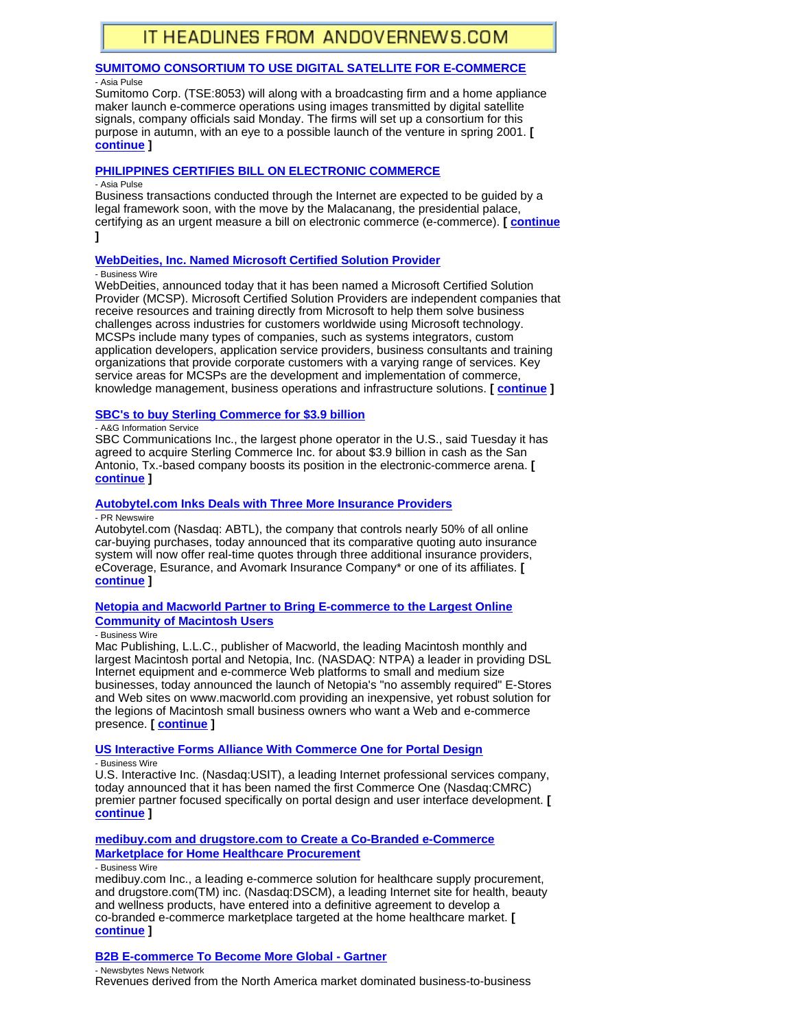# **SUMITOMO CONSORTIUM TO USE DIGITAL SATELLITE FOR E-COMMERCE**

- Asia Pulse

Sumitomo Corp. (TSE:8053) will along with a broadcasting firm and a home appliance maker launch e-commerce operations using images transmitted by digital satellite signals, company officials said Monday. The firms will set up a consortium for this purpose in autumn, with an eye to a possible launch of the venture in spring 2001. **[ continue ]**

# **PHILIPPINES CERTIFIES BILL ON ELECTRONIC COMMERCE**

- Asia Pulse

Business transactions conducted through the Internet are expected to be guided by a legal framework soon, with the move by the Malacanang, the presidential palace, certifying as an urgent measure a bill on electronic commerce (e-commerce). **[ continue ]**

# **WebDeities, Inc. Named Microsoft Certified Solution Provider**

- Business Wire

WebDeities, announced today that it has been named a Microsoft Certified Solution Provider (MCSP). Microsoft Certified Solution Providers are independent companies that receive resources and training directly from Microsoft to help them solve business challenges across industries for customers worldwide using Microsoft technology. MCSPs include many types of companies, such as systems integrators, custom application developers, application service providers, business consultants and training organizations that provide corporate customers with a varying range of services. Key service areas for MCSPs are the development and implementation of commerce, knowledge management, business operations and infrastructure solutions. **[ continue ]**

# **SBC's to buy Sterling Commerce for \$3.9 billion**

- A&G Information Service

SBC Communications Inc., the largest phone operator in the U.S., said Tuesday it has agreed to acquire Sterling Commerce Inc. for about \$3.9 billion in cash as the San Antonio, Tx.-based company boosts its position in the electronic-commerce arena. **[ continue ]**

# **Autobytel.com Inks Deals with Three More Insurance Providers**

- PR Newswire

Autobytel.com (Nasdaq: ABTL), the company that controls nearly 50% of all online car-buying purchases, today announced that its comparative quoting auto insurance system will now offer real-time quotes through three additional insurance providers, eCoverage, Esurance, and Avomark Insurance Company\* or one of its affiliates. **[ continue ]**

#### **Netopia and Macworld Partner to Bring E-commerce to the Largest Online Community of Macintosh Users**

#### - Business Wire

Mac Publishing, L.L.C., publisher of Macworld, the leading Macintosh monthly and largest Macintosh portal and Netopia, Inc. (NASDAQ: NTPA) a leader in providing DSL Internet equipment and e-commerce Web platforms to small and medium size businesses, today announced the launch of Netopia's "no assembly required" E-Stores and Web sites on www.macworld.com providing an inexpensive, yet robust solution for the legions of Macintosh small business owners who want a Web and e-commerce presence. **[ continue ]**

# **US Interactive Forms Alliance With Commerce One for Portal Design**

- Business Wire

U.S. Interactive Inc. (Nasdaq:USIT), a leading Internet professional services company, today announced that it has been named the first Commerce One (Nasdaq:CMRC) premier partner focused specifically on portal design and user interface development. **[ continue ]**

# **medibuy.com and drugstore.com to Create a Co-Branded e-Commerce Marketplace for Home Healthcare Procurement**

- Business Wire

medibuy.com Inc., a leading e-commerce solution for healthcare supply procurement, and drugstore.com(TM) inc. (Nasdaq:DSCM), a leading Internet site for health, beauty and wellness products, have entered into a definitive agreement to develop a co-branded e-commerce marketplace targeted at the home healthcare market. **[ continue ]**

# **B2B E-commerce To Become More Global - Gartner**

- Newsbytes News Network Revenues derived from the North America market dominated business-to-business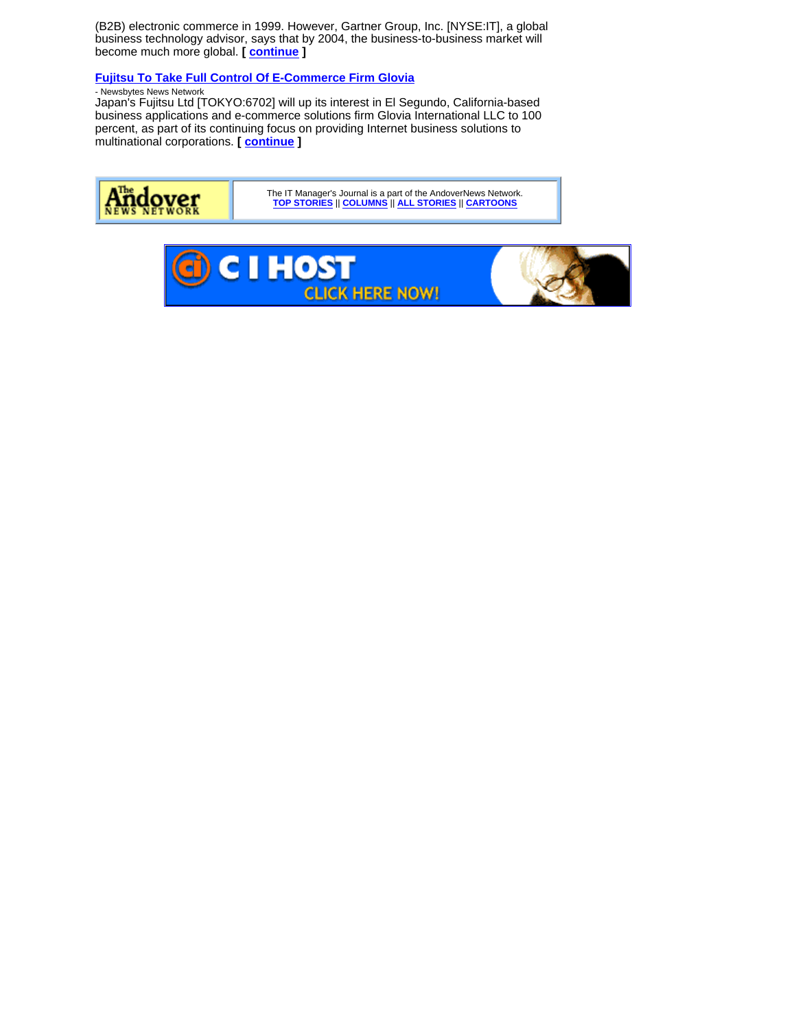(B2B) electronic commerce in 1999. However, Gartner Group, Inc. [NYSE:IT], a global business technology advisor, says that by 2004, the business-to-business market will become much more global. **[ continue ]**

# **Fujitsu To Take Full Control Of E-Commerce Firm Glovia**

# - Newsbytes News Network

Japan's Fujitsu Ltd [TOKYO:6702] will up its interest in El Segundo, California-based business applications and e-commerce solutions firm Glovia International LLC to 100 percent, as part of its continuing focus on providing Internet business solutions to multinational corporations. **[ continue ]**



The IT Manager's Journal is a part of the AndoverNews Network. **TOP STORIES** || **COLUMNS** || **ALL STORIES** || **CARTOONS**

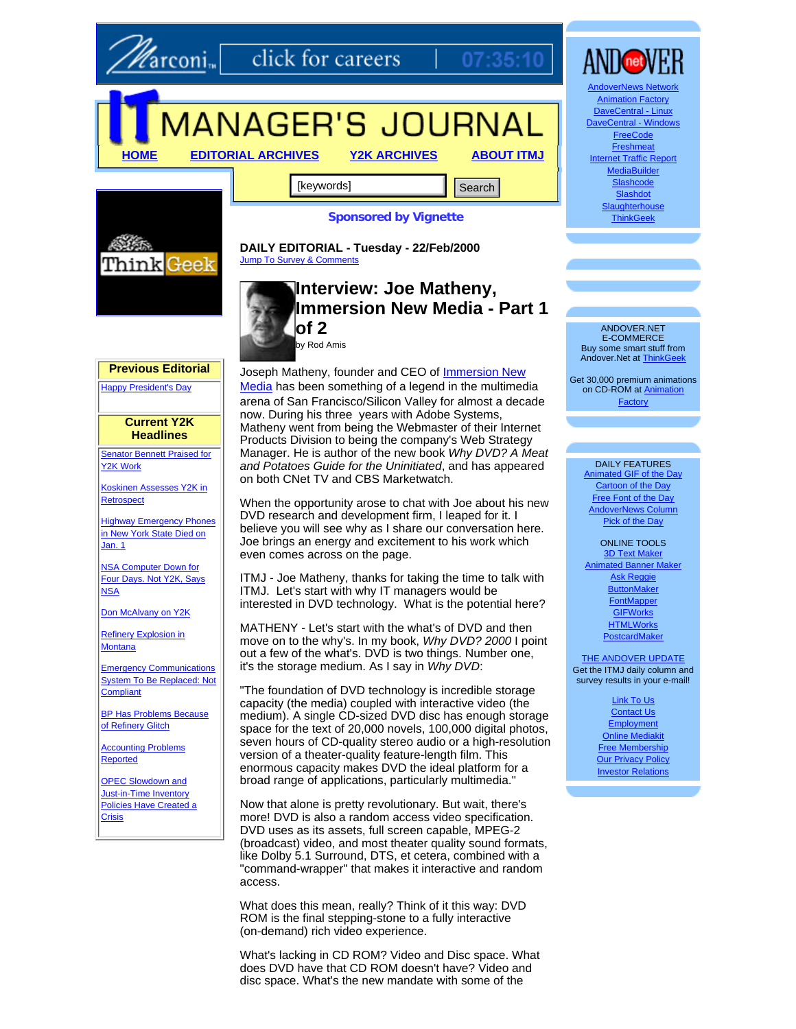

click for careers

# MANAGER'S JOURNAL

**HOME EDITORIAL ARCHIVES Y2K ARCHIVES ABOUT ITMJ**

[keywords] **Search Search** 



**Sponsored by Vignette**

07

Think Geek

#### **DAILY EDITORIAL - Tuesday - 22/Feb/2000** Jump To Survey & Comments

# **Interview: Joe Matheny, Immersion New Media - Part 1 of 2** by Rod Amis

Joseph Matheny, founder and CEO of **Immersion New** Media has been something of a legend in the multimedia arena of San Francisco/Silicon Valley for almost a decade now. During his three years with Adobe Systems, Matheny went from being the Webmaster of their Internet Products Division to being the company's Web Strategy Manager. He is author of the new book *Why DVD? A Meat and Potatoes Guide for the Uninitiated*, and has appeared on both CNet TV and CBS Marketwatch.

When the opportunity arose to chat with Joe about his new DVD research and development firm, I leaped for it. I believe you will see why as I share our conversation here. Joe brings an energy and excitement to his work which even comes across on the page.

ITMJ - Joe Matheny, thanks for taking the time to talk with ITMJ. Let's start with why IT managers would be interested in DVD technology. What is the potential here?

MATHENY - Let's start with the what's of DVD and then move on to the why's. In my book, *Why DVD? 2000* I point out a few of the what's. DVD is two things. Number one, it's the storage medium. As I say in *Why DVD*:

"The foundation of DVD technology is incredible storage capacity (the media) coupled with interactive video (the medium). A single CD-sized DVD disc has enough storage space for the text of 20,000 novels, 100,000 digital photos, seven hours of CD-quality stereo audio or a high-resolution version of a theater-quality feature-length film. This enormous capacity makes DVD the ideal platform for a broad range of applications, particularly multimedia."

Now that alone is pretty revolutionary. But wait, there's more! DVD is also a random access video specification. DVD uses as its assets, full screen capable, MPEG-2 (broadcast) video, and most theater quality sound formats, like Dolby 5.1 Surround, DTS, et cetera, combined with a "command-wrapper" that makes it interactive and random access.

What does this mean, really? Think of it this way: DVD ROM is the final stepping-stone to a fully interactive (on-demand) rich video experience.

What's lacking in CD ROM? Video and Disc space. What does DVD have that CD ROM doesn't have? Video and disc space. What's the new mandate with some of the



**Slashdot Slaughterhouse ThinkGeek** 

ANDOVER.NET E-COMMERCE Buy some smart stuff from Andover.Net at ThinkGeek

Get 30,000 premium animations on CD-ROM at Animation Factory

#### DAILY FEATURES

Animated GIF of the Day Cartoon of the Day Free Font of the Day AndoverNews Column Pick of the Day

ONLINE TOOLS 3D Text Make Animated Banner Maker Ask Reggie **ButtonMaker FontMapper GIFWorks HTMLWorks** PostcardMaker

#### **THE ANDOVER UPDATE** Get the ITMJ daily column and survey results in your e-mail!

Link To Us Contact Us **Employment** Online Mediakit Free Membership **Our Privacy Policy** Investor Relations

#### **Previous Editorial**

Happy President's Day

#### **Current Y2K Headlines**

Senator Bennett Praised for Y2K Work

Koskinen Assesses Y2K in **Retrospect** 

**Highway Emergency Phones** in New York State Died on Jan. 1

NSA Computer Down for Four Days. Not Y2K, Says **NSA** 

Don McAlvany on Y2K

Refinery Explosion in **Montana** 

Emergency Communications System To Be Replaced: Not **Compliant** 

BP Has Problems Because of Refinery Glitch

Accounting Problems Reported

OPEC Slowdown and Just-in-Time Inventory Policies Have Created a **Crisis**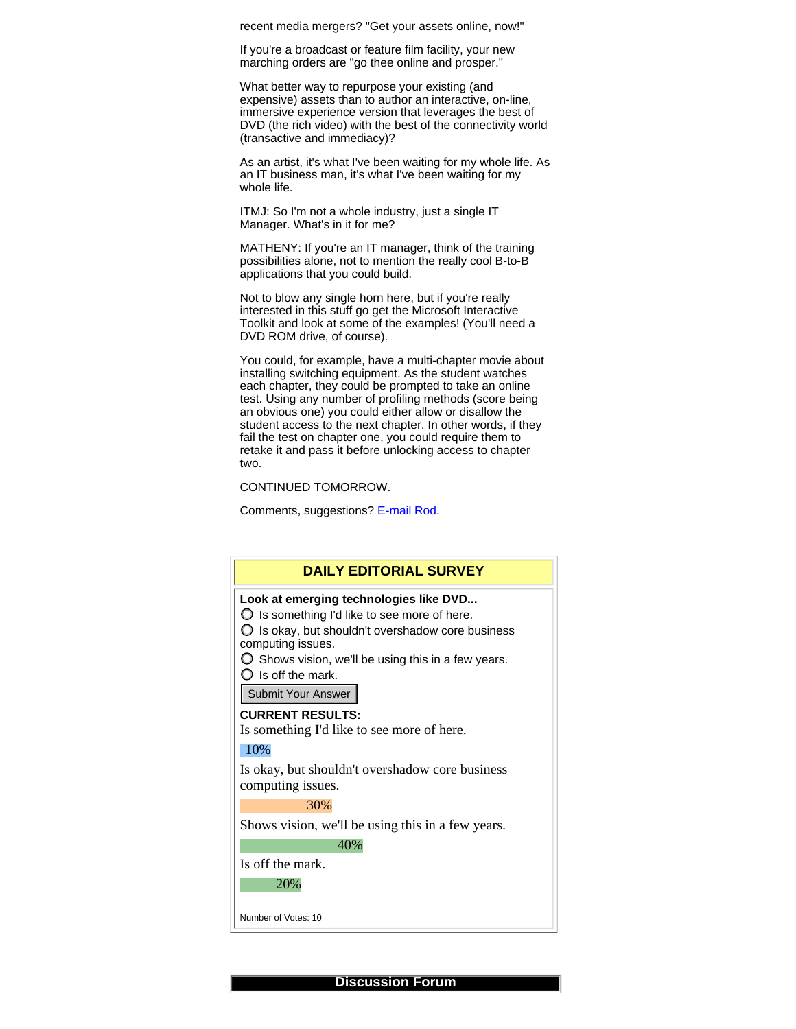recent media mergers? "Get your assets online, now!"

If you're a broadcast or feature film facility, your new marching orders are "go thee online and prosper."

What better way to repurpose your existing (and expensive) assets than to author an interactive, on-line, immersive experience version that leverages the best of DVD (the rich video) with the best of the connectivity world (transactive and immediacy)?

As an artist, it's what I've been waiting for my whole life. As an IT business man, it's what I've been waiting for my whole life.

ITMJ: So I'm not a whole industry, just a single IT Manager. What's in it for me?

MATHENY: If you're an IT manager, think of the training possibilities alone, not to mention the really cool B-to-B applications that you could build.

Not to blow any single horn here, but if you're really interested in this stuff go get the Microsoft Interactive Toolkit and look at some of the examples! (You'll need a DVD ROM drive, of course).

You could, for example, have a multi-chapter movie about installing switching equipment. As the student watches each chapter, they could be prompted to take an online test. Using any number of profiling methods (score being an obvious one) you could either allow or disallow the student access to the next chapter. In other words, if they fail the test on chapter one, you could require them to retake it and pass it before unlocking access to chapter two.

CONTINUED TOMORROW.

Comments, suggestions? E-mail Rod.



**Discussion Forum**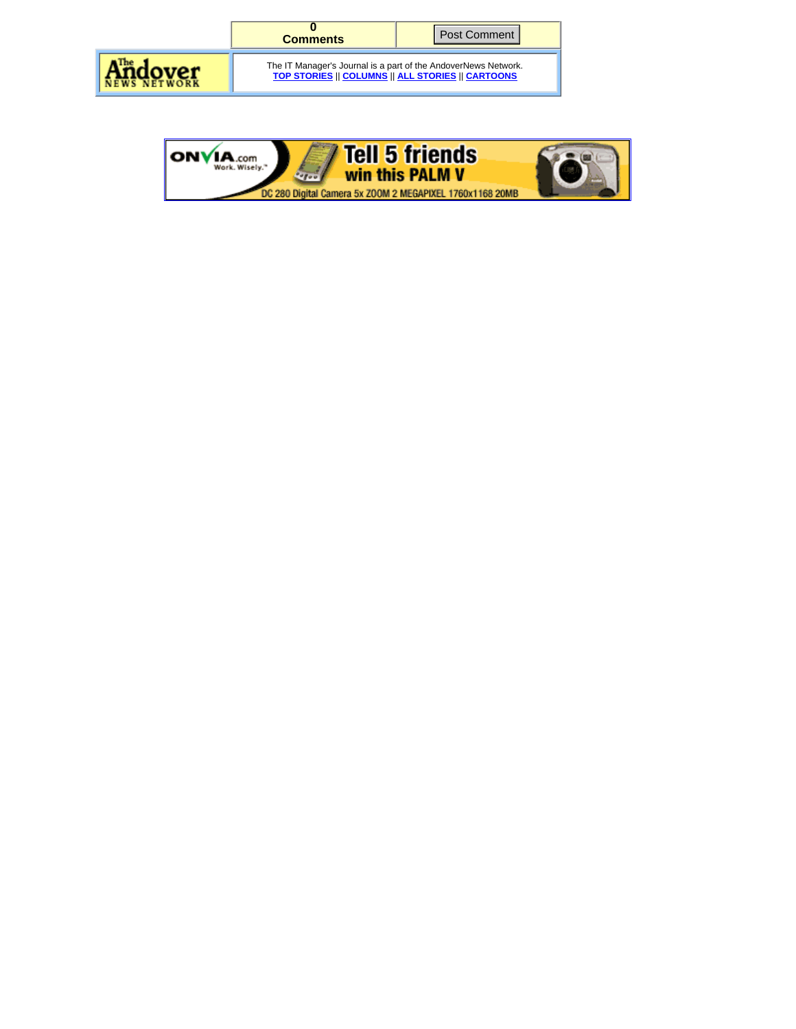

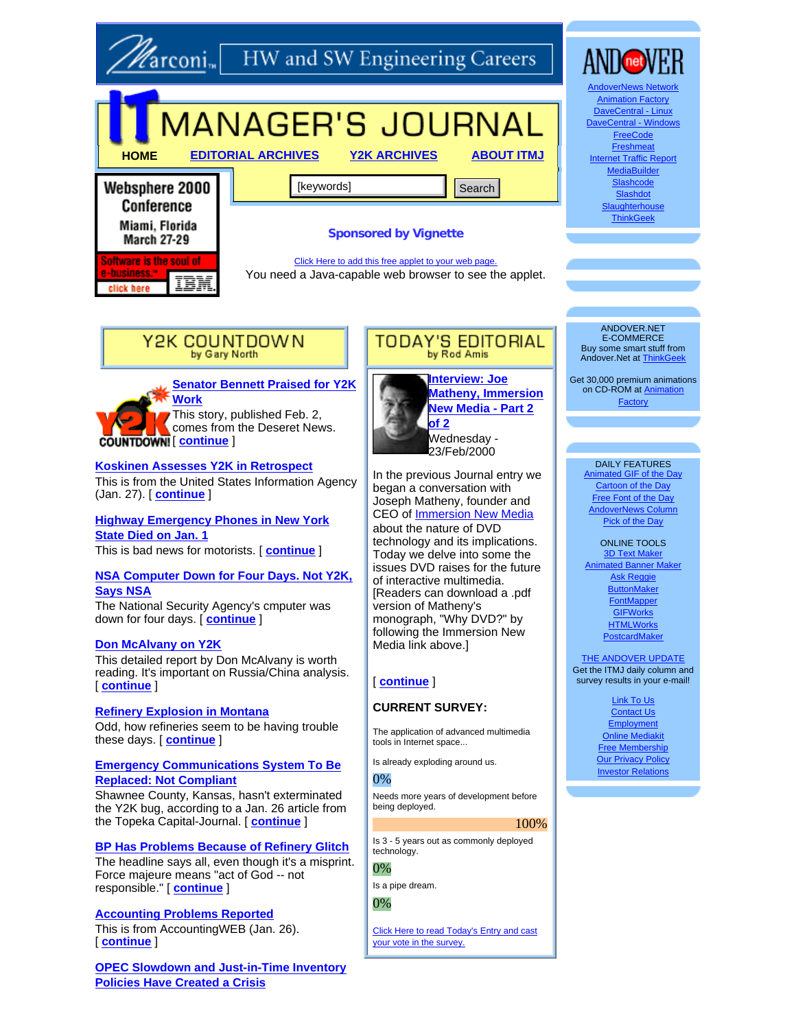

# **Zarconim** HW and SW Engineering Careers



Conference Miami, Florida **March 27-29** Software is the soul of TRN

click here

# **Sponsored by Vignette**

Click Here to add this free applet to your web page. You need a Java-capable web browser to see the applet.



**Senator Bennett Praised for Y2K Work**

This story, published Feb. 2, comes from the Deseret News.  $\overline{\text{COUNTDOWN!}}$  | continue |

# **Koskinen Assesses Y2K in Retrospect**

This is from the United States Information Agency (Jan. 27). [ **continue** ]

**Highway Emergency Phones in New York State Died on Jan. 1**

This is bad news for motorists. [ **continue** ]

# **NSA Computer Down for Four Days. Not Y2K, Says NSA**

The National Security Agency's cmputer was down for four days. [ **continue** ]

#### **Don McAlvany on Y2K**

This detailed report by Don McAlvany is worth reading. It's important on Russia/China analysis. [ **continue** ]

### **Refinery Explosion in Montana**

Odd, how refineries seem to be having trouble these days. [ **continue** ]

#### **Emergency Communications System To Be Replaced: Not Compliant**

Shawnee County, Kansas, hasn't exterminated the Y2K bug, according to a Jan. 26 article from the Topeka Capital-Journal. [ **continue** ]

#### **BP Has Problems Because of Refinery Glitch**

The headline says all, even though it's a misprint. Force majeure means "act of God -- not responsible." [ **continue** ]

# **Accounting Problems Reported**

This is from AccountingWEB (Jan. 26). [ **continue** ]

**OPEC Slowdown and Just-in-Time Inventory Policies Have Created a Crisis**



TODAY'S EDITORIAL by Rod Amis

In the previous Journal entry we began a conversation with Joseph Matheny, founder and CEO of Immersion New Media about the nature of DVD technology and its implications. Today we delve into some the issues DVD raises for the future of interactive multimedia. [Readers can download a .pdf version of Matheny's monograph, "Why DVD?" by following the Immersion New Media link above.]

# [ **continue** ]

# **CURRENT SURVEY:**

The application of advanced multimedia tools in Internet space...

Is already exploding around us.

#### 0%

Needs more years of development before being deployed.

#### 100%

Is 3 - 5 years out as commonly deployed technology.

### 0%

Is a pipe dream.

# 0%

Click Here to read Today's Entry and cast your vote in the survey.



**Slaughterhouse ThinkGeek** 

**Slashdot** 

ANDOVER.NET E-COMMERCE Buy some smart stuff from Andover.Net at ThinkGeek

Get 30,000 premium animations<br>on CD-ROM at <u>Animation</u> Factory

#### DAILY FEATURES

Animated GIF of the Day Cartoon of the Day Free Font of the Day AndoverNews Column Pick of the Day

ONLINE TOOLS 3D Text Mak Animated Banner Maker Ask Reggie **ButtonMaker FontMapper GIFWorks HTMLWorks** PostcardMaker

#### **THE ANDOVER UPDATE** Get the ITMJ daily column and survey results in your e-mail!

Link To Us Contact Us **Employment** Online Mediakit Free Membership **Our Privacy Policy** Investor Relations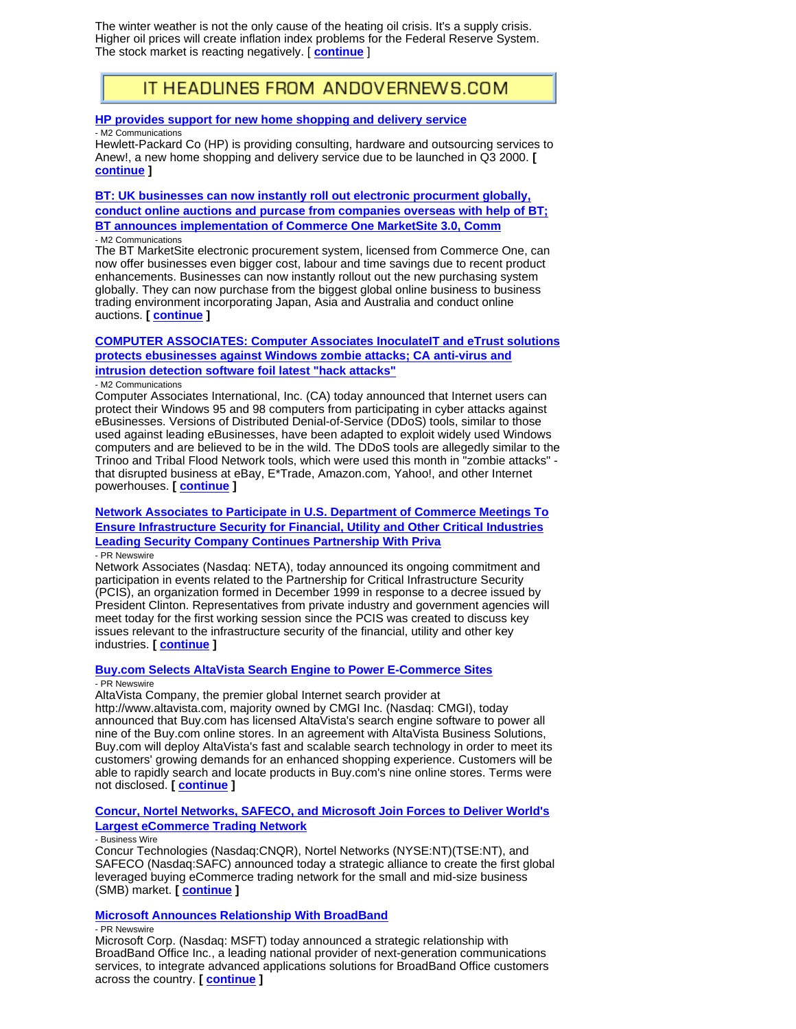The winter weather is not the only cause of the heating oil crisis. It's a supply crisis. Higher oil prices will create inflation index problems for the Federal Reserve System. The stock market is reacting negatively. [ **continue** ]

# IT HEADLINES FROM ANDOVERNEWS.COM

#### **HP provides support for new home shopping and delivery service**

- M2 Communications

Hewlett-Packard Co (HP) is providing consulting, hardware and outsourcing services to Anew!, a new home shopping and delivery service due to be launched in Q3 2000. **[ continue ]**

**BT: UK businesses can now instantly roll out electronic procurment globally, conduct online auctions and purcase from companies overseas with help of BT; BT announces implementation of Commerce One MarketSite 3.0, Comm** - M2 Communications

The BT MarketSite electronic procurement system, licensed from Commerce One, can now offer businesses even bigger cost, labour and time savings due to recent product enhancements. Businesses can now instantly rollout out the new purchasing system globally. They can now purchase from the biggest global online business to business trading environment incorporating Japan, Asia and Australia and conduct online auctions. **[ continue ]**

# **COMPUTER ASSOCIATES: Computer Associates InoculateIT and eTrust solutions protects ebusinesses against Windows zombie attacks; CA anti-virus and intrusion detection software foil latest "hack attacks"**

#### - M2 Communications

Computer Associates International, Inc. (CA) today announced that Internet users can protect their Windows 95 and 98 computers from participating in cyber attacks against eBusinesses. Versions of Distributed Denial-of-Service (DDoS) tools, similar to those used against leading eBusinesses, have been adapted to exploit widely used Windows computers and are believed to be in the wild. The DDoS tools are allegedly similar to the Trinoo and Tribal Flood Network tools, which were used this month in "zombie attacks" that disrupted business at eBay, E\*Trade, Amazon.com, Yahoo!, and other Internet powerhouses. **[ continue ]**

#### **Network Associates to Participate in U.S. Department of Commerce Meetings To Ensure Infrastructure Security for Financial, Utility and Other Critical Industries Leading Security Company Continues Partnership With Priva** - PR Newswire

Network Associates (Nasdaq: NETA), today announced its ongoing commitment and participation in events related to the Partnership for Critical Infrastructure Security (PCIS), an organization formed in December 1999 in response to a decree issued by President Clinton. Representatives from private industry and government agencies will meet today for the first working session since the PCIS was created to discuss key issues relevant to the infrastructure security of the financial, utility and other key industries. **[ continue ]**

#### **Buy.com Selects AltaVista Search Engine to Power E-Commerce Sites** - PR Newswire

AltaVista Company, the premier global Internet search provider at

http://www.altavista.com, majority owned by CMGI Inc. (Nasdaq: CMGI), today announced that Buy.com has licensed AltaVista's search engine software to power all nine of the Buy.com online stores. In an agreement with AltaVista Business Solutions, Buy.com will deploy AltaVista's fast and scalable search technology in order to meet its customers' growing demands for an enhanced shopping experience. Customers will be able to rapidly search and locate products in Buy.com's nine online stores. Terms were not disclosed. **[ continue ]**

#### **Concur, Nortel Networks, SAFECO, and Microsoft Join Forces to Deliver World's Largest eCommerce Trading Network**

#### - Business Wire

Concur Technologies (Nasdaq:CNQR), Nortel Networks (NYSE:NT)(TSE:NT), and SAFECO (Nasdaq:SAFC) announced today a strategic alliance to create the first global leveraged buying eCommerce trading network for the small and mid-size business (SMB) market. **[ continue ]**

#### **Microsoft Announces Relationship With BroadBand**

#### - PR Newswire

Microsoft Corp. (Nasdaq: MSFT) today announced a strategic relationship with BroadBand Office Inc., a leading national provider of next-generation communications services, to integrate advanced applications solutions for BroadBand Office customers across the country. **[ continue ]**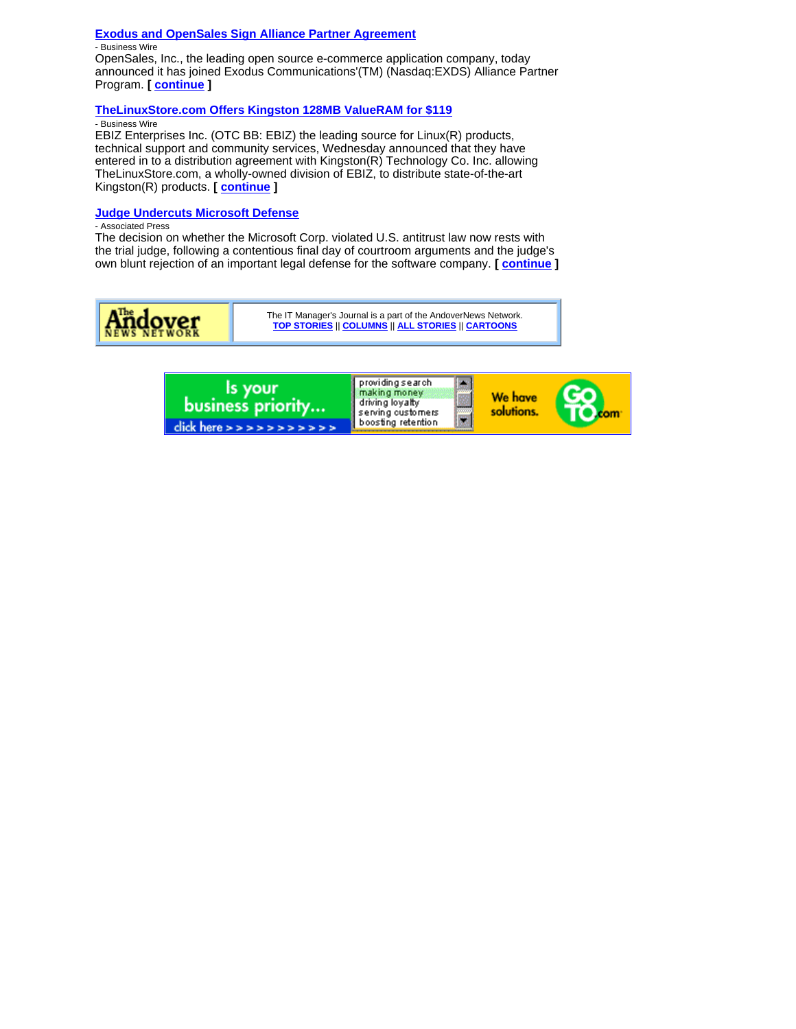#### **Exodus and OpenSales Sign Alliance Partner Agreement**

- Business Wire

OpenSales, Inc., the leading open source e-commerce application company, today announced it has joined Exodus Communications'(TM) (Nasdaq:EXDS) Alliance Partner Program. **[ continue ]**

#### **TheLinuxStore.com Offers Kingston 128MB ValueRAM for \$119**

- Business Wire

EBIZ Enterprises Inc. (OTC BB: EBIZ) the leading source for Linux(R) products, technical support and community services, Wednesday announced that they have entered in to a distribution agreement with Kingston(R) Technology Co. Inc. allowing TheLinuxStore.com, a wholly-owned division of EBIZ, to distribute state-of-the-art Kingston(R) products. **[ continue ]**

# **Judge Undercuts Microsoft Defense**

- Associated Press

The decision on whether the Microsoft Corp. violated U.S. antitrust law now rests with the trial judge, following a contentious final day of courtroom arguments and the judge's own blunt rejection of an important legal defense for the software company. **[ continue ]**

|  | The IT Manager's Journal is a part of the AndoverNews Network.<br>TOP STORIES    COLUMNS    ALL STORIES    CARTOONS |
|--|---------------------------------------------------------------------------------------------------------------------|
|--|---------------------------------------------------------------------------------------------------------------------|

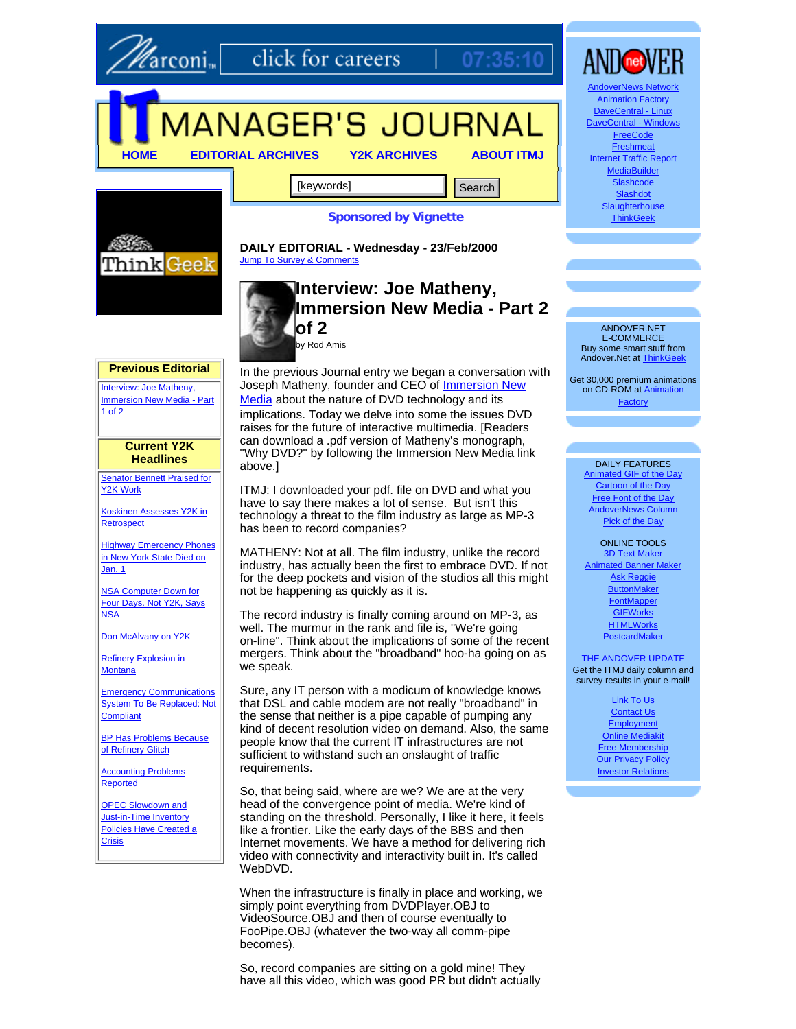

**arconi**<sub>m</sub> click for careers

# MANAGER'S JOURNAL

**HOME EDITORIAL ARCHIVES Y2K ARCHIVES ABOUT ITMJ**

[keywords] **Search Search** 



# **Sponsored by Vignette**

07

**DAILY EDITORIAL - Wednesday - 23/Feb/2000** Jump To Survey & Comments

# **Interview: Joe Matheny, Immersion New Media - Part 2 of 2** by Rod Amis

**Previous Editorial**

Interview: Joe Matheny, Immersion New Media - Part 1 of 2

> **Current Y2K Headlines**

Senator Bennett Praised for Y2K Work

Koskinen Assesses Y2K in **Retrospect** 

Highway Emergency Phones in New York State Died on Jan. 1

NSA Computer Down for Four Days. Not Y2K, Says **NSA** 

Don McAlvany on Y2K

Refinery Explosion in Montana

Emergency Communications System To Be Replaced: Not **Compliant** 

BP Has Problems Because of Refinery Glitch

**Accounting Problems** Reported

**OPEC Slowdown and** Just-in-Time Inventory Policies Have Created a **Crisis** 

In the previous Journal entry we began a conversation with Joseph Matheny, founder and CEO of Immersion New Media about the nature of DVD technology and its implications. Today we delve into some the issues DVD raises for the future of interactive multimedia. [Readers can download a .pdf version of Matheny's monograph, "Why DVD?" by following the Immersion New Media link above.]

ITMJ: I downloaded your pdf. file on DVD and what you have to say there makes a lot of sense. But isn't this technology a threat to the film industry as large as MP-3 has been to record companies?

MATHENY: Not at all. The film industry, unlike the record industry, has actually been the first to embrace DVD. If not for the deep pockets and vision of the studios all this might not be happening as quickly as it is.

The record industry is finally coming around on MP-3, as well. The murmur in the rank and file is, "We're going on-line". Think about the implications of some of the recent mergers. Think about the "broadband" hoo-ha going on as we speak.

Sure, any IT person with a modicum of knowledge knows that DSL and cable modem are not really "broadband" in the sense that neither is a pipe capable of pumping any kind of decent resolution video on demand. Also, the same people know that the current IT infrastructures are not sufficient to withstand such an onslaught of traffic requirements.

So, that being said, where are we? We are at the very head of the convergence point of media. We're kind of standing on the threshold. Personally, I like it here, it feels like a frontier. Like the early days of the BBS and then Internet movements. We have a method for delivering rich video with connectivity and interactivity built in. It's called WebDVD.

When the infrastructure is finally in place and working, we simply point everything from DVDPlayer.OBJ to VideoSource.OBJ and then of course eventually to FooPipe.OBJ (whatever the two-way all comm-pipe becomes).

So, record companies are sitting on a gold mine! They have all this video, which was good PR but didn't actually



DaveCentral - Windows **FreeCode Freshmeat** Internet Traffic Report **MediaBuilder** Slashcode **Slashdot Slaughterhouse ThinkGeek** 

ANDOVER.NET E-COMMERCE Buy some smart stuff from Andover.Net at ThinkGeek

Get 30,000 premium animations on CD-ROM at Animation Factory

#### DAILY FEATURES

Animated GIF of the Day Cartoon of the Day Free Font of the Day AndoverNews Column Pick of the Day

ONLINE TOOLS 3D Text Make Animated Banner Maker Ask Reggie **ButtonMaker FontMapper GIFWorks HTMLWorks** PostcardMaker

#### **THE ANDOVER UPDATE** Get the ITMJ daily column and

survey results in your e-mail!

Link To Us Contact Us **Employment** Online Mediakit Free Membership **Our Privacy Policy** Investor Relations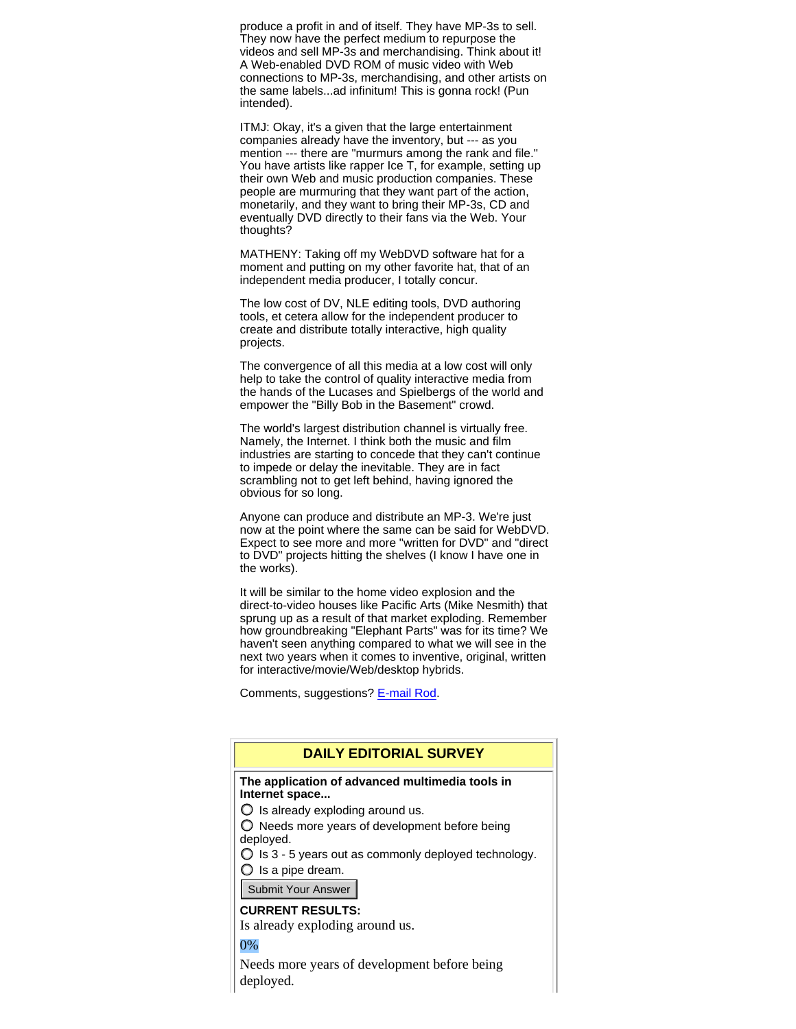produce a profit in and of itself. They have MP-3s to sell. They now have the perfect medium to repurpose the videos and sell MP-3s and merchandising. Think about it! A Web-enabled DVD ROM of music video with Web connections to MP-3s, merchandising, and other artists on the same labels...ad infinitum! This is gonna rock! (Pun intended).

ITMJ: Okay, it's a given that the large entertainment companies already have the inventory, but --- as you mention --- there are "murmurs among the rank and file." You have artists like rapper Ice T, for example, setting up their own Web and music production companies. These people are murmuring that they want part of the action, monetarily, and they want to bring their MP-3s, CD and eventually DVD directly to their fans via the Web. Your thoughts?

MATHENY: Taking off my WebDVD software hat for a moment and putting on my other favorite hat, that of an independent media producer, I totally concur.

The low cost of DV, NLE editing tools, DVD authoring tools, et cetera allow for the independent producer to create and distribute totally interactive, high quality projects.

The convergence of all this media at a low cost will only help to take the control of quality interactive media from the hands of the Lucases and Spielbergs of the world and empower the "Billy Bob in the Basement" crowd.

The world's largest distribution channel is virtually free. Namely, the Internet. I think both the music and film industries are starting to concede that they can't continue to impede or delay the inevitable. They are in fact scrambling not to get left behind, having ignored the obvious for so long.

Anyone can produce and distribute an MP-3. We're just now at the point where the same can be said for WebDVD. Expect to see more and more "written for DVD" and "direct to DVD" projects hitting the shelves (I know I have one in the works).

It will be similar to the home video explosion and the direct-to-video houses like Pacific Arts (Mike Nesmith) that sprung up as a result of that market exploding. Remember how groundbreaking "Elephant Parts" was for its time? We haven't seen anything compared to what we will see in the next two years when it comes to inventive, original, written for interactive/movie/Web/desktop hybrids.

Comments, suggestions? E-mail Rod.

# **DAILY EDITORIAL SURVEY**

#### **The application of advanced multimedia tools in Internet space...**

 $\bigcirc$  Is already exploding around us.

 $\bigcirc$  Needs more years of development before being deployed.

 $\bigcirc$  is 3 - 5 years out as commonly deployed technology.

 $\bigcirc$  is a pipe dream.

Submit Your Answer

#### **CURRENT RESULTS:**

Is already exploding around us.

0%

Needs more years of development before being deployed.